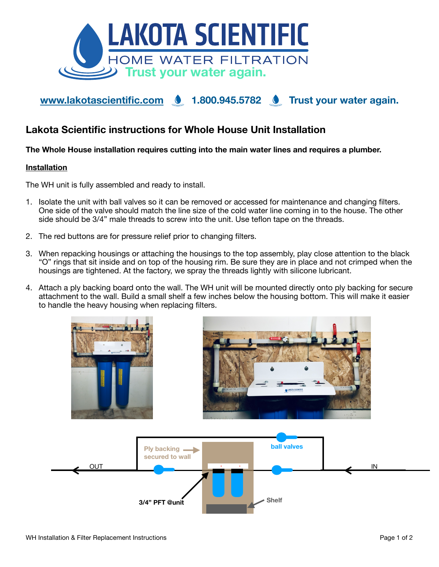

# [www.lakotascientific.com](http://www.lakotascientific.com) **1.800.945.5782** Trust your water again.

# **Lakota Scientific instructions for Whole House Unit Installation**

## **The Whole House installation requires cutting into the main water lines and requires a plumber.**

#### **Installation**

The WH unit is fully assembled and ready to install.

- 1. Isolate the unit with ball valves so it can be removed or accessed for maintenance and changing filters. One side of the valve should match the line size of the cold water line coming in to the house. The other side should be 3/4" male threads to screw into the unit. Use teflon tape on the threads.
- 2. The red buttons are for pressure relief prior to changing filters.
- 3. When repacking housings or attaching the housings to the top assembly, play close attention to the black "O" rings that sit inside and on top of the housing rim. Be sure they are in place and not crimped when the housings are tightened. At the factory, we spray the threads lightly with silicone lubricant.
- 4. Attach a ply backing board onto the wall. The WH unit will be mounted directly onto ply backing for secure attachment to the wall. Build a small shelf a few inches below the housing bottom. This will make it easier to handle the heavy housing when replacing filters.